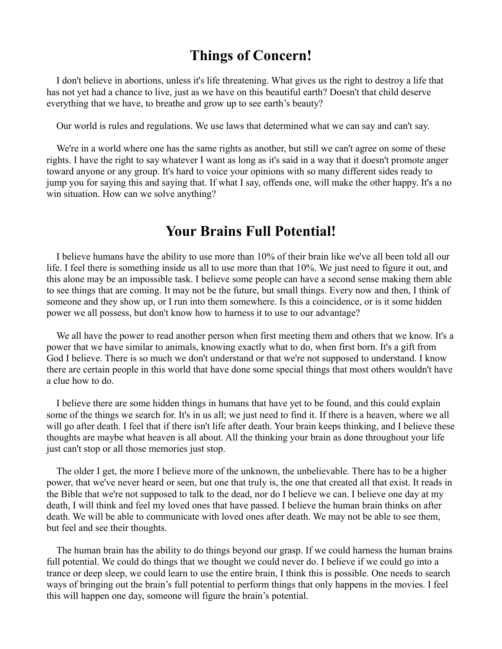## **Things of Concern!**

I don't believe in abortions, unless it's life threatening. What gives us the right to destroy a life that has not yet had a chance to live, just as we have on this beautiful earth? Doesn't that child deserve everything that we have, to breathe and grow up to see earth's beauty?

Our world is rules and regulations. We use laws that determined what we can say and can't say.

We're in a world where one has the same rights as another, but still we can't agree on some of these rights. I have the right to say whatever I want as long as it's said in a way that it doesn't promote anger toward anyone or any group. It's hard to voice your opinions with so many different sides ready to jump you for saying this and saying that. If what I say, offends one, will make the other happy. It's a no win situation. How can we solve anything?

## **Your Brains Full Potential!**

I believe humans have the ability to use more than 10% of their brain like we've all been told all our life. I feel there is something inside us all to use more than that 10%. We just need to figure it out, and this alone may be an impossible task. I believe some people can have a second sense making them able to see things that are coming. It may not be the future, but small things. Every now and then, I think of someone and they show up, or I run into them somewhere. Is this a coincidence, or is it some hidden power we all possess, but don't know how to harness it to use to our advantage?

We all have the power to read another person when first meeting them and others that we know. It's a power that we have similar to animals, knowing exactly what to do, when first born. It's a gift from God I believe. There is so much we don't understand or that we're not supposed to understand. I know there are certain people in this world that have done some special things that most others wouldn't have a clue how to do.

I believe there are some hidden things in humans that have yet to be found, and this could explain some of the things we search for. It's in us all; we just need to find it. If there is a heaven, where we all will go after death. I feel that if there isn't life after death. Your brain keeps thinking, and I believe these thoughts are maybe what heaven is all about. All the thinking your brain as done throughout your life just can't stop or all those memories just stop.

The older I get, the more I believe more of the unknown, the unbelievable. There has to be a higher power, that we've never heard or seen, but one that truly is, the one that created all that exist. It reads in the Bible that we're not supposed to talk to the dead, nor do I believe we can. I believe one day at my death, I will think and feel my loved ones that have passed. I believe the human brain thinks on after death. We will be able to communicate with loved ones after death. We may not be able to see them, but feel and see their thoughts.

The human brain has the ability to do things beyond our grasp. If we could harness the human brains full potential. We could do things that we thought we could never do. I believe if we could go into a trance or deep sleep, we could learn to use the entire brain, I think this is possible. One needs to search ways of bringing out the brain's full potential to perform things that only happens in the movies. I feel this will happen one day, someone will figure the brain's potential.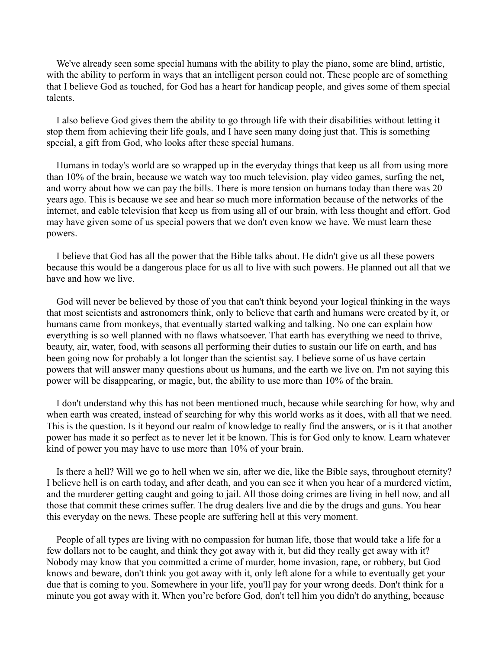We've already seen some special humans with the ability to play the piano, some are blind, artistic, with the ability to perform in ways that an intelligent person could not. These people are of something that I believe God as touched, for God has a heart for handicap people, and gives some of them special talents.

I also believe God gives them the ability to go through life with their disabilities without letting it stop them from achieving their life goals, and I have seen many doing just that. This is something special, a gift from God, who looks after these special humans.

Humans in today's world are so wrapped up in the everyday things that keep us all from using more than 10% of the brain, because we watch way too much television, play video games, surfing the net, and worry about how we can pay the bills. There is more tension on humans today than there was 20 years ago. This is because we see and hear so much more information because of the networks of the internet, and cable television that keep us from using all of our brain, with less thought and effort. God may have given some of us special powers that we don't even know we have. We must learn these powers.

I believe that God has all the power that the Bible talks about. He didn't give us all these powers because this would be a dangerous place for us all to live with such powers. He planned out all that we have and how we live.

God will never be believed by those of you that can't think beyond your logical thinking in the ways that most scientists and astronomers think, only to believe that earth and humans were created by it, or humans came from monkeys, that eventually started walking and talking. No one can explain how everything is so well planned with no flaws whatsoever. That earth has everything we need to thrive, beauty, air, water, food, with seasons all performing their duties to sustain our life on earth, and has been going now for probably a lot longer than the scientist say. I believe some of us have certain powers that will answer many questions about us humans, and the earth we live on. I'm not saying this power will be disappearing, or magic, but, the ability to use more than 10% of the brain.

I don't understand why this has not been mentioned much, because while searching for how, why and when earth was created, instead of searching for why this world works as it does, with all that we need. This is the question. Is it beyond our realm of knowledge to really find the answers, or is it that another power has made it so perfect as to never let it be known. This is for God only to know. Learn whatever kind of power you may have to use more than 10% of your brain.

Is there a hell? Will we go to hell when we sin, after we die, like the Bible says, throughout eternity? I believe hell is on earth today, and after death, and you can see it when you hear of a murdered victim, and the murderer getting caught and going to jail. All those doing crimes are living in hell now, and all those that commit these crimes suffer. The drug dealers live and die by the drugs and guns. You hear this everyday on the news. These people are suffering hell at this very moment.

People of all types are living with no compassion for human life, those that would take a life for a few dollars not to be caught, and think they got away with it, but did they really get away with it? Nobody may know that you committed a crime of murder, home invasion, rape, or robbery, but God knows and beware, don't think you got away with it, only left alone for a while to eventually get your due that is coming to you. Somewhere in your life, you'll pay for your wrong deeds. Don't think for a minute you got away with it. When you're before God, don't tell him you didn't do anything, because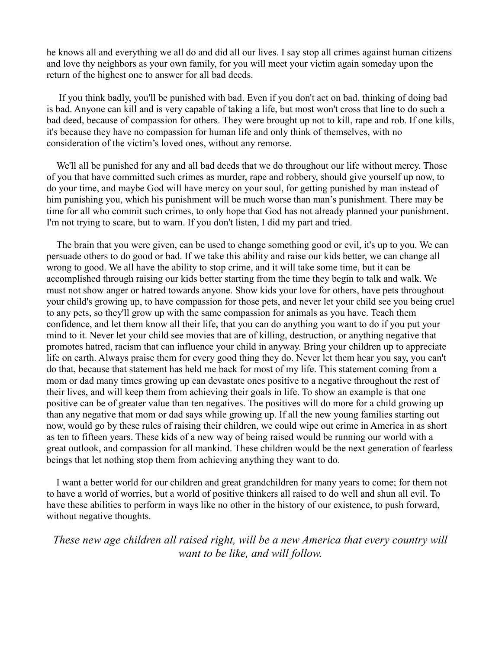he knows all and everything we all do and did all our lives. I say stop all crimes against human citizens and love thy neighbors as your own family, for you will meet your victim again someday upon the return of the highest one to answer for all bad deeds.

 If you think badly, you'll be punished with bad. Even if you don't act on bad, thinking of doing bad is bad. Anyone can kill and is very capable of taking a life, but most won't cross that line to do such a bad deed, because of compassion for others. They were brought up not to kill, rape and rob. If one kills, it's because they have no compassion for human life and only think of themselves, with no consideration of the victim's loved ones, without any remorse.

We'll all be punished for any and all bad deeds that we do throughout our life without mercy. Those of you that have committed such crimes as murder, rape and robbery, should give yourself up now, to do your time, and maybe God will have mercy on your soul, for getting punished by man instead of him punishing you, which his punishment will be much worse than man's punishment. There may be time for all who commit such crimes, to only hope that God has not already planned your punishment. I'm not trying to scare, but to warn. If you don't listen, I did my part and tried.

The brain that you were given, can be used to change something good or evil, it's up to you. We can persuade others to do good or bad. If we take this ability and raise our kids better, we can change all wrong to good. We all have the ability to stop crime, and it will take some time, but it can be accomplished through raising our kids better starting from the time they begin to talk and walk. We must not show anger or hatred towards anyone. Show kids your love for others, have pets throughout your child's growing up, to have compassion for those pets, and never let your child see you being cruel to any pets, so they'll grow up with the same compassion for animals as you have. Teach them confidence, and let them know all their life, that you can do anything you want to do if you put your mind to it. Never let your child see movies that are of killing, destruction, or anything negative that promotes hatred, racism that can influence your child in anyway. Bring your children up to appreciate life on earth. Always praise them for every good thing they do. Never let them hear you say, you can't do that, because that statement has held me back for most of my life. This statement coming from a mom or dad many times growing up can devastate ones positive to a negative throughout the rest of their lives, and will keep them from achieving their goals in life. To show an example is that one positive can be of greater value than ten negatives. The positives will do more for a child growing up than any negative that mom or dad says while growing up. If all the new young families starting out now, would go by these rules of raising their children, we could wipe out crime in America in as short as ten to fifteen years. These kids of a new way of being raised would be running our world with a great outlook, and compassion for all mankind. These children would be the next generation of fearless beings that let nothing stop them from achieving anything they want to do.

I want a better world for our children and great grandchildren for many years to come; for them not to have a world of worries, but a world of positive thinkers all raised to do well and shun all evil. To have these abilities to perform in ways like no other in the history of our existence, to push forward, without negative thoughts.

*These new age children all raised right, will be a new America that every country will want to be like, and will follow.*